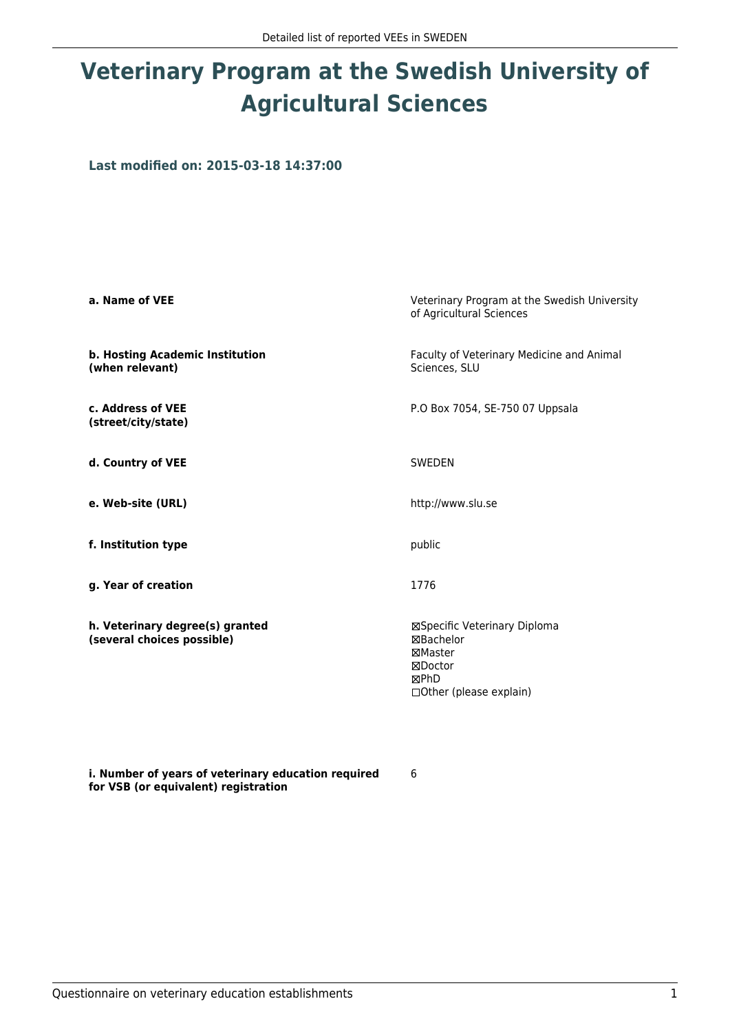## **Veterinary Program at the Swedish University of Agricultural Sciences**

**Last modified on: 2015-03-18 14:37:00**

| a. Name of VEE                                                | Veterinary Program at the Swedish University<br>of Agricultural Sciences                            |  |
|---------------------------------------------------------------|-----------------------------------------------------------------------------------------------------|--|
| b. Hosting Academic Institution<br>(when relevant)            | Faculty of Veterinary Medicine and Animal<br>Sciences, SLU                                          |  |
| c. Address of VEE<br>(street/city/state)                      | P.O Box 7054, SE-750 07 Uppsala                                                                     |  |
| d. Country of VEE                                             | SWEDEN                                                                                              |  |
| e. Web-site (URL)                                             | http://www.slu.se                                                                                   |  |
| f. Institution type                                           | public                                                                                              |  |
| g. Year of creation                                           | 1776                                                                                                |  |
| h. Veterinary degree(s) granted<br>(several choices possible) | ⊠Specific Veterinary Diploma<br>⊠Bachelor<br>⊠Master<br>⊠Doctor<br>⊠PhD<br>□ Other (please explain) |  |

**i. Number of years of veterinary education required for VSB (or equivalent) registration**

6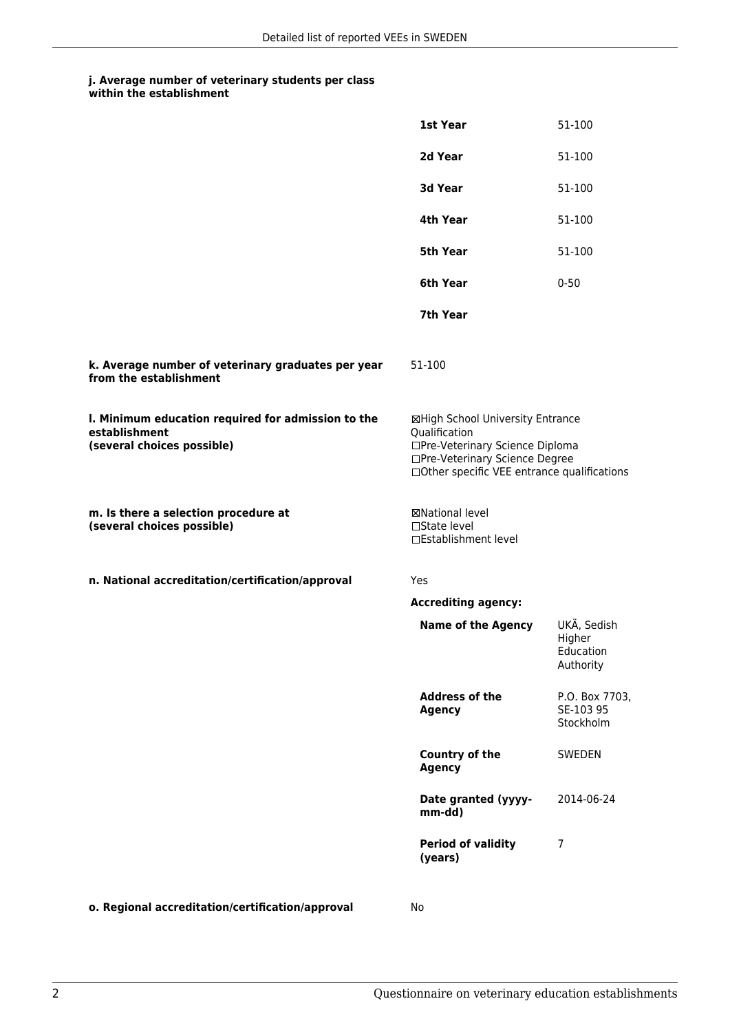## **j. Average number of veterinary students per class**

| within the establishment |  |
|--------------------------|--|
|--------------------------|--|

|                                                                                                   | 1st Year                                                                                                                                                              | 51-100                                          |
|---------------------------------------------------------------------------------------------------|-----------------------------------------------------------------------------------------------------------------------------------------------------------------------|-------------------------------------------------|
|                                                                                                   | 2d Year                                                                                                                                                               | 51-100                                          |
|                                                                                                   | 3d Year                                                                                                                                                               | 51-100                                          |
|                                                                                                   | 4th Year                                                                                                                                                              | 51-100                                          |
|                                                                                                   | 5th Year                                                                                                                                                              | 51-100                                          |
|                                                                                                   | 6th Year                                                                                                                                                              | $0 - 50$                                        |
|                                                                                                   | 7th Year                                                                                                                                                              |                                                 |
| k. Average number of veterinary graduates per year<br>from the establishment                      | 51-100                                                                                                                                                                |                                                 |
| I. Minimum education required for admission to the<br>establishment<br>(several choices possible) | ⊠High School University Entrance<br>Qualification<br>□Pre-Veterinary Science Diploma<br>□Pre-Veterinary Science Degree<br>□Other specific VEE entrance qualifications |                                                 |
| m. Is there a selection procedure at<br>(several choices possible)                                | ⊠National level<br>□State level<br>□Establishment level                                                                                                               |                                                 |
| n. National accreditation/certification/approval                                                  | <b>Yes</b>                                                                                                                                                            |                                                 |
|                                                                                                   | <b>Accrediting agency:</b>                                                                                                                                            |                                                 |
|                                                                                                   | <b>Name of the Agency</b>                                                                                                                                             | UKÄ, Sedish<br>Higher<br>Education<br>Authority |
|                                                                                                   | <b>Address of the</b><br><b>Agency</b>                                                                                                                                | P.O. Box 7703,<br>SE-103 95<br>Stockholm        |
|                                                                                                   | Country of the<br><b>Agency</b>                                                                                                                                       | <b>SWEDEN</b>                                   |
|                                                                                                   | Date granted (yyyy-<br>mm-dd)                                                                                                                                         | 2014-06-24                                      |
|                                                                                                   | <b>Period of validity</b><br>(years)                                                                                                                                  | 7                                               |
| o. Regional accreditation/certification/approval                                                  | No                                                                                                                                                                    |                                                 |